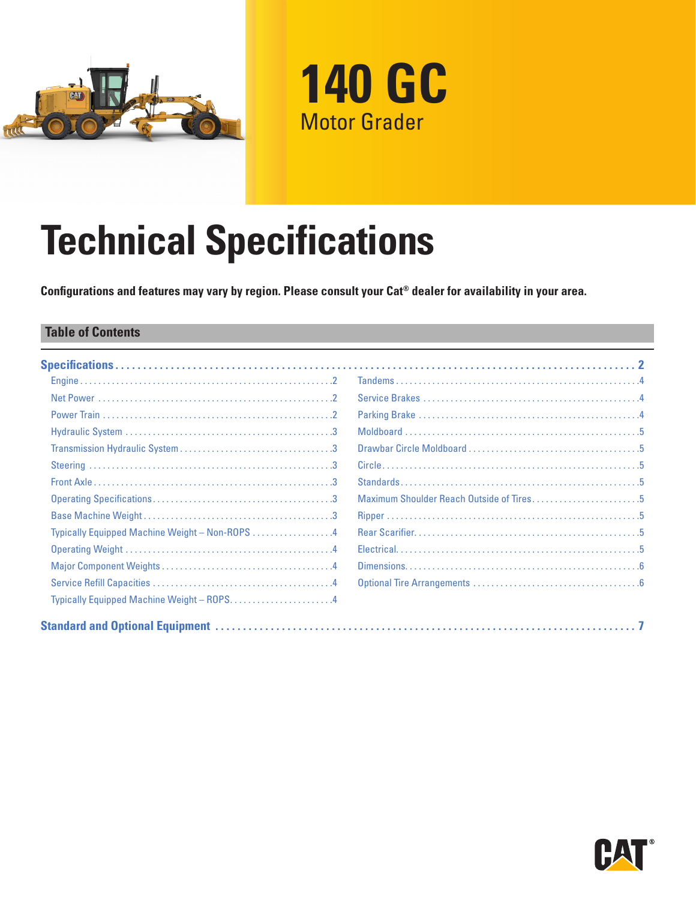



# **Technical Specifications**

**Configurations and features may vary by region. Please consult your Cat® dealer for availability in your area.**

### **Table of Contents**

|                                                | Maximum Shoulder Reach Outside of Tires5 |
|------------------------------------------------|------------------------------------------|
|                                                |                                          |
| Typically Equipped Machine Weight - Non-ROPS 4 |                                          |
|                                                |                                          |
|                                                |                                          |
|                                                |                                          |
| Typically Equipped Machine Weight - ROPS4      |                                          |
|                                                |                                          |

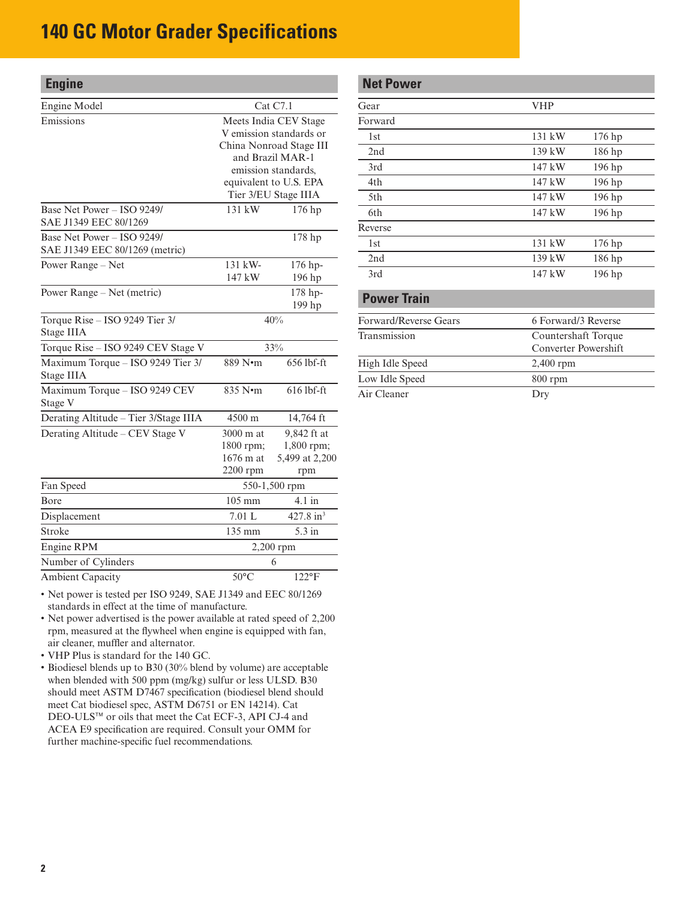<span id="page-1-0"></span>

| <b>Engine</b>                                                |                                                                                                                                                                          |                                                    |
|--------------------------------------------------------------|--------------------------------------------------------------------------------------------------------------------------------------------------------------------------|----------------------------------------------------|
| Engine Model                                                 |                                                                                                                                                                          | Cat C7.1                                           |
| Emissions                                                    | Meets India CEV Stage<br>V emission standards or<br>China Nonroad Stage III<br>and Brazil MAR-1<br>emission standards,<br>equivalent to U.S. EPA<br>Tier 3/EU Stage IIIA |                                                    |
| Base Net Power - ISO 9249/<br>SAE J1349 EEC 80/1269          | $131 \text{ kW}$                                                                                                                                                         | 176 hp                                             |
| Base Net Power - ISO 9249/<br>SAE J1349 EEC 80/1269 (metric) |                                                                                                                                                                          | 178 hp                                             |
| Power Range - Net                                            | 131 kW-<br>147 kW                                                                                                                                                        | 176 hp-<br>196 hp                                  |
| Power Range – Net (metric)                                   |                                                                                                                                                                          | 178 hp-<br>199 hp                                  |
| Torque Rise - ISO 9249 Tier 3/<br><b>Stage IIIA</b>          | 40%                                                                                                                                                                      |                                                    |
| Torque Rise - ISO 9249 CEV Stage V                           | 33%                                                                                                                                                                      |                                                    |
| Maximum Torque - ISO 9249 Tier 3/<br><b>Stage IIIA</b>       | 889 N•m                                                                                                                                                                  | 656 lbf-ft                                         |
| Maximum Torque - ISO 9249 CEV<br>Stage V                     | 835 N•m                                                                                                                                                                  | 616 lbf-ft                                         |
| Derating Altitude - Tier 3/Stage IIIA                        | 4500 m                                                                                                                                                                   | 14,764 ft                                          |
| Derating Altitude - CEV Stage V                              | 3000 m at<br>1800 rpm;<br>1676 m at<br>$2200$ rpm                                                                                                                        | 9,842 ft at<br>1,800 rpm;<br>5,499 at 2,200<br>rpm |
| Fan Speed                                                    | 550-1,500 rpm                                                                                                                                                            |                                                    |
| Bore                                                         | 105 mm                                                                                                                                                                   | 4.1 in                                             |
| Displacement                                                 | 7.01 L                                                                                                                                                                   | 427.8 in <sup>3</sup>                              |
| Stroke                                                       | 135 mm                                                                                                                                                                   | 5.3 in                                             |
| Engine RPM                                                   |                                                                                                                                                                          | $2,200$ rpm                                        |
| Number of Cylinders                                          |                                                                                                                                                                          | 6                                                  |
| <b>Ambient Capacity</b>                                      | $50^{\circ}$ C                                                                                                                                                           | $122^{\circ}F$                                     |

• Net power is tested per ISO 9249, SAE J1349 and EEC 80/1269 standards in effect at the time of manufacture.

- Net power advertised is the power available at rated speed of 2,200 rpm, measured at the flywheel when engine is equipped with fan, air cleaner, muffler and alternator.
- VHP Plus is standard for the 140 GC.
- Biodiesel blends up to B30 (30% blend by volume) are acceptable when blended with 500 ppm (mg/kg) sulfur or less ULSD. B30 should meet ASTM D7467 specification (biodiesel blend should meet Cat biodiesel spec, ASTM D6751 or EN 14214). Cat DEO-ULS™ or oils that meet the Cat ECF-3, API CJ-4 and ACEA E9 specification are required. Consult your OMM for further machine-specific fuel recommendations.

## **Net Power** Gear VHP Forward 1st 131 kW 176 hp 2nd 139 kW 186 hp 3rd 147 kW 196 hp 4th 147 kW 196 hp 5th 147 kW 196 hp 6th 147 kW 196 hp Reverse 1st 131 kW 176 hp 2nd 139 kW 186 hp 3rd 147 kW 196 hp

### **Power Train**

| Forward/Reverse Gears | 6 Forward/3 Reverse                         |
|-----------------------|---------------------------------------------|
| Transmission          | Countershaft Torque<br>Converter Powershift |
| High Idle Speed       | $2,400$ rpm                                 |
| Low Idle Speed        | $800$ rpm                                   |
| Air Cleaner           | Dry                                         |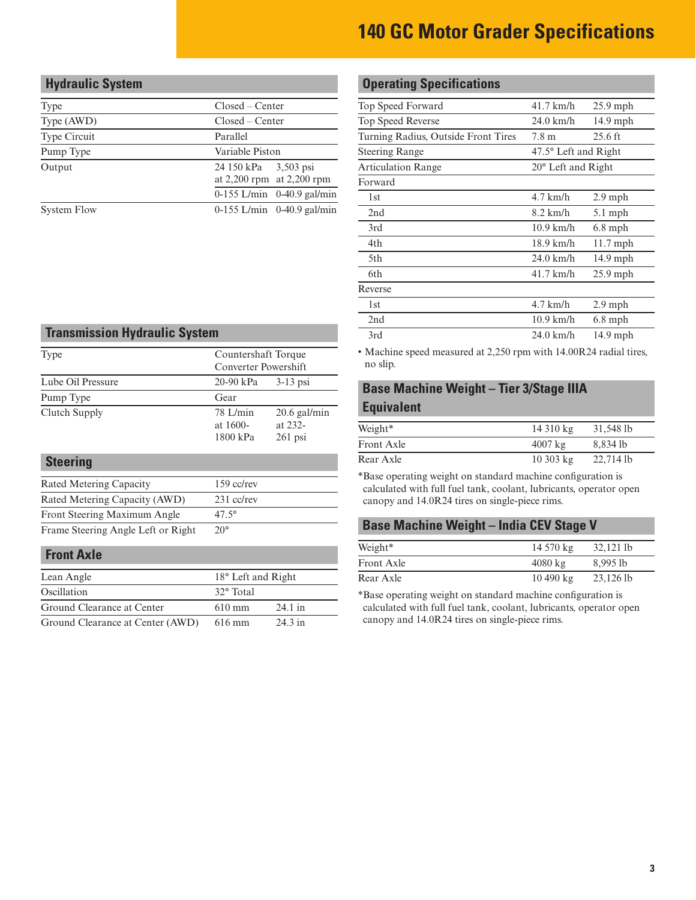# <span id="page-2-0"></span>**Hydraulic System** Type Closed – Center Type (AWD) Closed – Center Type Circuit Parallel Pump Type Variable Piston

Output 24 150 kPa

at 2,200 rpm at 2,200 rpm

0-155 L/min 0-40.9 gal/min

3,503 psi

System Flow 0-155 L/min 0-40.9 gal/min

### **Transmission Hydraulic System**

| Type              | Countershaft Torque<br>Converter Powershift |                                        |
|-------------------|---------------------------------------------|----------------------------------------|
| Lube Oil Pressure | $20-90$ kPa<br>$3-13$ psi                   |                                        |
| Pump Type         | Gear                                        |                                        |
| Clutch Supply     | $78$ L/min<br>at $1600-$<br>1800 kPa        | $20.6$ gal/min<br>at 232-<br>$261$ psi |

| <b>Steering</b>                    |                |
|------------------------------------|----------------|
| Rated Metering Capacity            | $159$ cc/rev   |
| Rated Metering Capacity (AWD)      | $231$ cc/rev   |
| Front Steering Maximum Angle       | $47.5^{\circ}$ |
| Frame Steering Angle Left or Right | $20^{\circ}$   |

### **Front Axle**

| Lean Angle                       | 18° Left and Right |                   |
|----------------------------------|--------------------|-------------------|
| Oscillation                      | 32° Total          |                   |
| Ground Clearance at Center       | $610 \text{ mm}$   | $24.1 \text{ in}$ |
| Ground Clearance at Center (AWD) | 616 mm             | $24.3$ in         |

# **Operating Specifications**

| Top Speed Forward                   | $41.7 \text{ km/h}$         | $25.9$ mph        |  |
|-------------------------------------|-----------------------------|-------------------|--|
| Top Speed Reverse                   | $24.0$ km/h                 | $14.9$ mph        |  |
| Turning Radius, Outside Front Tires | 7.8 m                       | $25.6 \text{ ft}$ |  |
| <b>Steering Range</b>               | 47.5° Left and Right        |                   |  |
| <b>Articulation Range</b>           | $20^{\circ}$ Left and Right |                   |  |
| Forward                             |                             |                   |  |
| 1st                                 | $4.7$ km/h                  | $2.9$ mph         |  |
| 2nd                                 | $8.2$ km/h                  | $5.1$ mph         |  |
| 3rd                                 | $10.9$ km/h                 | $6.8$ mph         |  |
| 4th                                 | $18.9$ km/h                 | $11.7$ mph        |  |
| 5th                                 | 24.0 km/h                   | 14.9 mph          |  |
| 6th                                 | $41.7 \text{ km/h}$         | $25.9$ mph        |  |
| Reverse                             |                             |                   |  |
| 1st                                 | $4.7$ km/h                  | $2.9$ mph         |  |
| 2nd                                 | $10.9$ km/h                 | $6.8$ mph         |  |
| 3rd                                 | 24.0 km/h                   | $14.9$ mph        |  |
|                                     |                             |                   |  |

• Machine speed measured at 2,250 rpm with 14.00R24 radial tires, no slip.

### **Base Machine Weight – Tier 3/Stage IIIA Equivalent**

| Weight*           | $14310 \text{ kg}$ | 31.548 lb   |
|-------------------|--------------------|-------------|
| <b>Front Axle</b> | $4007 \text{ kg}$  | 8.834 lb    |
| Rear Axle         | $10303 \text{ kg}$ | $22,714$ lb |

\*Base operating weight on standard machine configuration is calculated with full fuel tank, coolant, lubricants, operator open canopy and 14.0R24 tires on single-piece rims.

### **Base Machine Weight – India CEV Stage V**

| Weight*           | $14570 \text{ kg}$ | $32,121$ lb |
|-------------------|--------------------|-------------|
| <b>Front Axle</b> | $4080 \text{ kg}$  | 8.995 lb    |
| Rear Axle         | $10490 \text{ kg}$ | $23,126$ lb |

\*Base operating weight on standard machine configuration is calculated with full fuel tank, coolant, lubricants, operator open canopy and 14.0R24 tires on single-piece rims.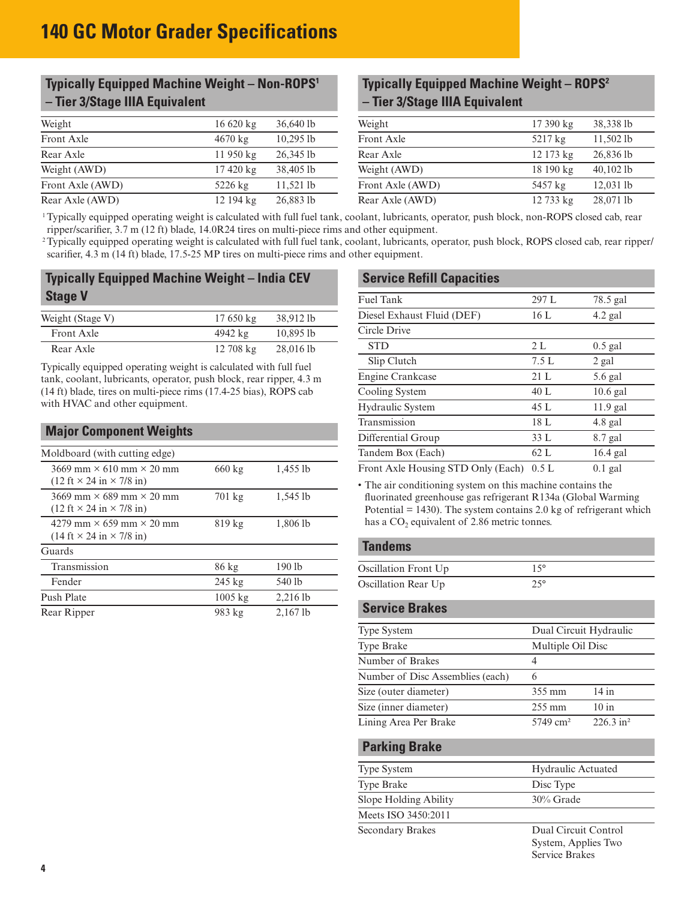## <span id="page-3-0"></span>**Typically Equipped Machine Weight – Non-ROPS1 – Tier 3/Stage IIIA Equivalent**

| Weight           | $16620 \text{ kg}$     | $36,640$ lb | Weight           | $17390 \text{ kg}$ | 38,338 lb   |
|------------------|------------------------|-------------|------------------|--------------------|-------------|
| Front Axle       | $4670 \text{ kg}$      | 10.2951b    | Front Axle       | $5217 \text{ kg}$  | 11,5021     |
| Rear Axle        | $11950 \text{ kg}$     | 26,345 lb   | Rear Axle        | $12173 \text{ kg}$ | 26,836 lb   |
| Weight (AWD)     | $17\,420\,\mathrm{kg}$ | 38,405 lb   | Weight (AWD)     | $18190 \text{ kg}$ | $40,102$ lb |
| Front Axle (AWD) | $5226 \text{ kg}$      | $11.521$ lb | Front Axle (AWD) | 5457 kg            | $12,031$ lb |
| Rear Axle (AWD)  | 12 194 kg              | 26,883 lb   | Rear Axle (AWD)  | 12733 kg           | 28,071 lb   |

## **Typically Equipped Machine Weight – ROPS2 – Tier 3/Stage IIIA Equivalent**

| Weight           | $16620 \text{ kg}$ | 36,640 lb   | Weight           | 17 390 kg          | 38,338 lb   |  |
|------------------|--------------------|-------------|------------------|--------------------|-------------|--|
| Front Axle       | $4670 \text{ kg}$  | $10.295$ lb | Front Axle       | $5217 \text{ kg}$  | $11.502$ lb |  |
| Rear Axle        | $11950 \text{ kg}$ | $26,345$ lb | Rear Axle        | $12173 \text{ kg}$ | 26,836 lb   |  |
| Weight (AWD)     | $17420 \text{ kg}$ | 38,405 lb   | Weight (AWD)     | $18190 \text{ kg}$ | $40,102$ lb |  |
| Front Axle (AWD) | $5226 \text{ kg}$  | $11,521$ lb | Front Axle (AWD) | 5457 kg            | $12,031$ lb |  |
| Rear Axle (AWD)  | 12 194 kg          | 26,883 lb   | Rear Axle (AWD)  | 12 733 kg          | 28,071 lb   |  |

 1 Typically equipped operating weight is calculated with full fuel tank, coolant, lubricants, operator, push block, non-ROPS closed cab, rear ripper/scarifier, 3.7 m (12 ft) blade, 14.0R24 tires on multi-piece rims and other equipment.

<sup>2</sup> Typically equipped operating weight is calculated with full fuel tank, coolant, lubricants, operator, push block, ROPS closed cab, rear ripper/ scarifier, 4.3 m (14 ft) blade, 17.5-25 MP tires on multi-piece rims and other equipment.

### **Typically Equipped Machine Weight – India CEV Stage V**

| Weight (Stage V) | $17650 \text{ kg}$     | 38.912 lb |
|------------------|------------------------|-----------|
| Front Axle       | 4942 kg                | 10.8951b  |
| Rear Axle        | $12\,708\,\mathrm{kg}$ | 28,0161   |

Typically equipped operating weight is calculated with full fuel tank, coolant, lubricants, operator, push block, rear ripper, 4.3 m (14 ft) blade, tires on multi-piece rims (17.4-25 bias), ROPS cab with HVAC and other equipment.

#### **Major Component Weights** Moldboard (with cutting edge)  $3669$  mm  $\times$  610 mm  $\times$  20 mm  $(12 \text{ ft} \times 24 \text{ in} \times 7/8 \text{ in})$ 660 kg 1,455 lb  $3669$  mm  $\times$  689 mm  $\times$  20 mm  $(12 \text{ ft} \times 24 \text{ in} \times 7/8 \text{ in})$ 701 kg 1,545 lb 4279 mm  $\times$  659 mm  $\times$  20 mm  $(14 \text{ ft} \times 24 \text{ in} \times 7/8 \text{ in})$ 819 kg 1,806 lb Guards Transmission 86 kg 190 lb Fender 245 kg 540 lb Push Plate 1005 kg 2,216 lb Rear Ripper 983 kg 2,167 lb

| <b>Service Refill Capacities</b>                                                                             |       |                      |
|--------------------------------------------------------------------------------------------------------------|-------|----------------------|
| <b>Fuel Tank</b>                                                                                             | 297 L | 78.5 gal             |
| Diesel Exhaust Fluid (DEF)                                                                                   | 16 L  | $4.2$ gal            |
| Circle Drive                                                                                                 |       |                      |
| <b>STD</b>                                                                                                   | 2L    | $0.5$ gal            |
| Slip Clutch                                                                                                  | 7.5L  | 2 gal                |
| Engine Crankcase                                                                                             | 21L   | 5.6 gal              |
| Cooling System                                                                                               | 40 L  | $10.6$ gal           |
| Hydraulic System                                                                                             | 45 L  | $11.9$ gal           |
| Transmission                                                                                                 | 18 L  | $4.8$ gal            |
| Differential Group                                                                                           | 33L   | 8.7 gal              |
| Tandem Box (Each)                                                                                            | 62 L  | $16.4$ gal           |
| $\alpha$ $\beta$ $\beta$ $\beta$ $\beta$ $\beta$ $\beta$ $\gamma$ $\beta$ $\gamma$ $\beta$ $\gamma$ $\gamma$ |       | $\sim$ $\sim$ $\sim$ |

Front Axle Housing STD Only (Each)  $0.5 L$  0.1 gal

• The air conditioning system on this machine contains the fluorinated greenhouse gas refrigerant R134a (Global Warming Potential  $= 1430$ ). The system contains 2.0 kg of refrigerant which has a  $CO<sub>2</sub>$  equivalent of 2.86 metric tonnes.

### **Tandems**

| Oscillation Front Up |              |
|----------------------|--------------|
| Oscillation Rear Up  | $25^{\circ}$ |

### **Service Brakes**

| Dual Circuit Hydraulic |                         |
|------------------------|-------------------------|
| Multiple Oil Disc      |                         |
| 4                      |                         |
| 6                      |                         |
| 355 mm                 | $14$ in                 |
| $255 \text{ mm}$       | 10 in                   |
| $5749 \text{ cm}^2$    | $226.3$ in <sup>2</sup> |
|                        |                         |

#### **Parking Brake**

| <b>Type System</b>    | <b>Hydraulic Actuated</b> |
|-----------------------|---------------------------|
| <b>Type Brake</b>     | Disc Type                 |
| Slope Holding Ability | $30\%$ Grade              |
| Meets ISO 3450:2011   |                           |
| Secondary Brakes      | Dual Circuit Control      |

System, Applies Two Service Brakes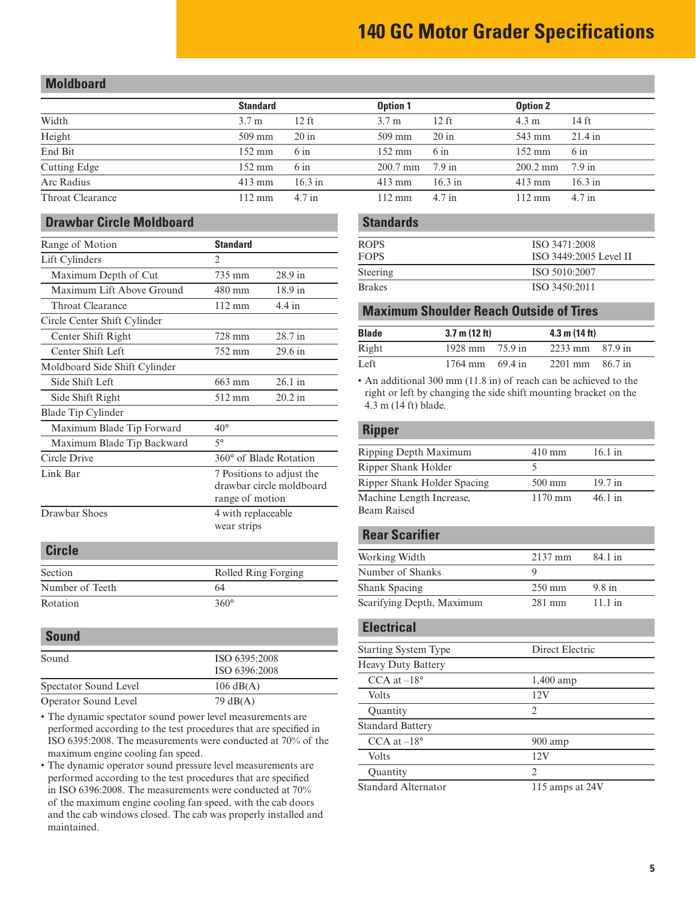### <span id="page-4-0"></span>**Moldboard**

|                  | <b>Standard</b>  |                | <b>Option 1</b>           |            | <b>Option 2</b>           |                |
|------------------|------------------|----------------|---------------------------|------------|---------------------------|----------------|
| Width            | 3.7 <sub>m</sub> | 12 ft          | 3.7 <sub>m</sub>          | $12$ ft    | $4.3 \text{ m}$           | 14 ft          |
| Height           | $509$ mm         | $20$ in        | $509$ mm                  | $20$ in    | 543 mm                    | $21.4$ in      |
| End Bit          | 152 mm           | $6 \text{ in}$ | $152 \text{ mm}$          | $6 \infty$ | 152 mm                    | $6 \text{ in}$ |
| Cutting Edge     | $152 \text{ mm}$ | $6 \text{ in}$ | $200.7 \text{ mm}$ 7.9 in |            | $200.2 \text{ mm}$ 7.9 in |                |
| Arc Radius       | $413 \text{ mm}$ | 16.3 in        | $413 \text{ mm}$          | 16.3 in    | $413 \text{ mm}$          | $16.3$ in      |
| Throat Clearance | $112 \text{ mm}$ | $4.7$ in       | $112 \text{ mm}$          | $4.7$ in   | $112 \text{ mm}$          | $4.7$ in       |

### **Drawbar Circle Moldboard**

| Range of Motion               | <b>Standard</b>                                                          |                  |  |
|-------------------------------|--------------------------------------------------------------------------|------------------|--|
| Lift Cylinders                | $\mathfrak{D}$                                                           |                  |  |
| Maximum Depth of Cut          | 735 mm                                                                   | 28.9 in          |  |
| Maximum Lift Above Ground     | 480 mm                                                                   | $18.9$ in        |  |
| Throat Clearance              | $112 \text{ mm}$                                                         | $4.4 \text{ in}$ |  |
| Circle Center Shift Cylinder  |                                                                          |                  |  |
| Center Shift Right            | 728 mm                                                                   | 28.7 in          |  |
| Center Shift Left             | 752 mm                                                                   | 29.6 in          |  |
| Moldboard Side Shift Cylinder |                                                                          |                  |  |
| Side Shift Left               | 663 mm                                                                   | 26.1 in          |  |
| Side Shift Right              | 512 mm                                                                   | $20.2$ in        |  |
| Blade Tip Cylinder            |                                                                          |                  |  |
| Maximum Blade Tip Forward     | $40^{\circ}$                                                             |                  |  |
| Maximum Blade Tip Backward    | $5^{\circ}$                                                              |                  |  |
| Circle Drive                  | 360° of Blade Rotation                                                   |                  |  |
| Link Bar                      | 7 Positions to adjust the<br>drawbar circle moldboard<br>range of motion |                  |  |
| Drawbar Shoes                 | 4 with replaceable<br>wear strips                                        |                  |  |

### **Circle**

| Section         | Rolled Ring Forging |
|-----------------|---------------------|
| Number of Teeth | 64                  |
| Rotation        | $360^\circ$         |

### **Sound**

| Sound                 | ISO 6395:2008       |  |
|-----------------------|---------------------|--|
|                       | ISO 6396:2008       |  |
| Spectator Sound Level | $106 \text{ dB}(A)$ |  |
| Operator Sound Level  | 79 dB(A)            |  |

- The dynamic spectator sound power level measurements are performed according to the test procedures that are specified in ISO 6395:2008. The measurements were conducted at 70% of the maximum engine cooling fan speed.
- The dynamic operator sound pressure level measurements are performed according to the test procedures that are specified in ISO 6396:2008. The measurements were conducted at 70% of the maximum engine cooling fan speed, with the cab doors and the cab windows closed. The cab was properly installed and maintained.

### **Standards**

| <b>ROPS</b>   | ISO 3471:2008          |
|---------------|------------------------|
| <b>FOPS</b>   | ISO 3449:2005 Level II |
| Steering      | ISO 5010:2007          |
| <b>Brakes</b> | ISO 3450:2011          |

#### **Maximum Shoulder Reach Outside of Tires**

| <b>Blade</b> | $3.7 \text{ m} (12 \text{ ft})$ | $4.3 \text{ m} (14 \text{ ft})$     |  |
|--------------|---------------------------------|-------------------------------------|--|
| Right        | 1928 mm $75.9$ in               | $2233 \text{ mm}$ $87.9 \text{ in}$ |  |
| Left.        | $1764 \text{ mm}$ 69.4 in       | $2201 \text{ mm}$ 86.7 in           |  |

• An additional 300 mm (11.8 in) of reach can be achieved to the right or left by changing the side shift mounting bracket on the 4.3 m (14 ft) blade.

#### **Ripper**

| Ripping Depth Maximum                          | $410 \text{ mm}$  | 16.1 in             |
|------------------------------------------------|-------------------|---------------------|
| Ripper Shank Holder                            |                   |                     |
| Ripper Shank Holder Spacing                    | $500 \text{ mm}$  | $19.7$ in           |
| Machine Length Increase,<br><b>Beam Raised</b> | $1170 \text{ mm}$ | $46.1 \; \text{in}$ |

### **Rear Scarifier**

| Working Width             | $2137$ mm        | 84.1 in |  |
|---------------------------|------------------|---------|--|
| Number of Shanks          |                  |         |  |
| Shank Spacing             | $250 \text{ mm}$ | 9.8 in  |  |
| Scarifying Depth, Maximum | 281 mm           | 11.1 in |  |

#### **Electrical**

| <b>Starting System Type</b> | Direct Electric               |
|-----------------------------|-------------------------------|
| <b>Heavy Duty Battery</b>   |                               |
| $CCA$ at $-18^{\circ}$      | 1,400 amp                     |
| <b>Volts</b>                | 12V                           |
| Quantity                    | $\mathfrak{D}_{\mathfrak{p}}$ |
| <b>Standard Battery</b>     |                               |
| CCA at $-18^\circ$          | $900$ amp                     |
| <b>Volts</b>                | 12V                           |
| <b>Quantity</b>             | $\mathfrak{D}$                |
| <b>Standard Alternator</b>  | 115 amps at 24V               |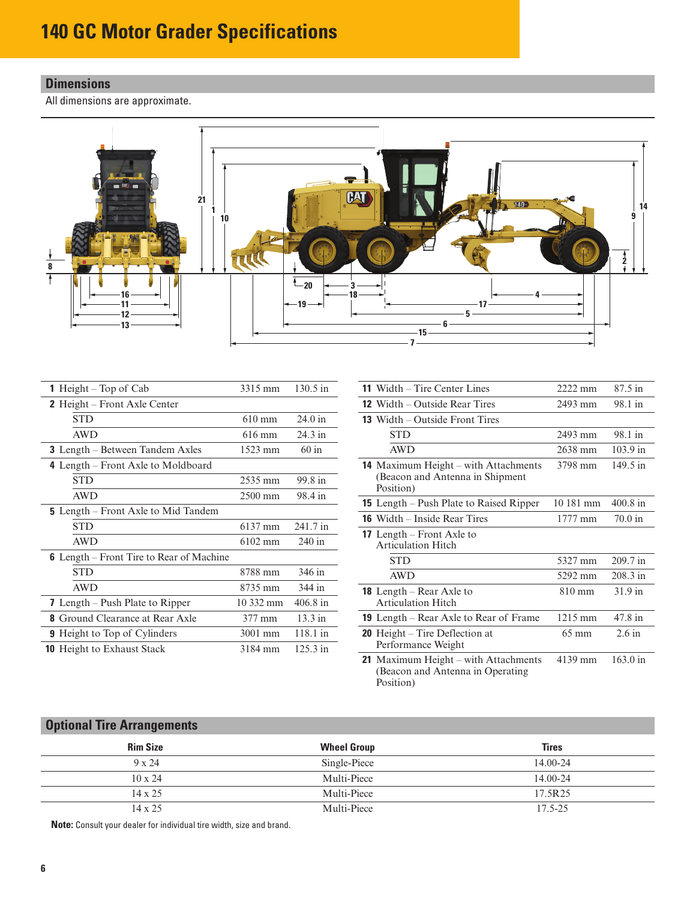# <span id="page-5-0"></span>**Dimensions**

All dimensions are approximate.



| <b>1</b> Height – Top of Cab                    | 3315 mm          | $130.5 \text{ in}$   |
|-------------------------------------------------|------------------|----------------------|
| <b>2</b> Height – Front Axle Center             |                  |                      |
| <b>STD</b>                                      | $610 \text{ mm}$ | $24.0$ in            |
| <b>AWD</b>                                      | $616 \text{ mm}$ | $24.3$ in            |
| <b>3</b> Length – Between Tandem Axles          | 1523 mm          | $60$ in              |
| 4 Length – Front Axle to Moldboard              |                  |                      |
| <b>STD</b>                                      | 2535 mm          | 99.8 in              |
| <b>AWD</b>                                      | 2500 mm          | 98.4 in              |
| <b>5</b> Length – Front Axle to Mid Tandem      |                  |                      |
| <b>STD</b>                                      | 6137 mm          | 241.7 in             |
| <b>AWD</b>                                      | $6102$ mm        | $240$ in             |
| <b>6</b> Length – Front Tire to Rear of Machine |                  |                      |
| <b>STD</b>                                      | 8788 mm          | 346 in               |
| <b>AWD</b>                                      | 8735 mm          | 344 in               |
| <b>7</b> Length – Push Plate to Ripper          | 10 332 mm        | $406.8 \; \text{in}$ |
| <b>8</b> Ground Clearance at Rear Axle          | 377 mm           | $13.3 \text{ in}$    |
| <b>9</b> Height to Top of Cylinders             | $3001$ mm        | $118.1 \text{ in}$   |
| <b>10</b> Height to Exhaust Stack               | 3184 mm          | 125.3 in             |

| <b>11</b> Width – Tire Center Lines                                                    | $2222 \text{ mm}$ | 87.5 in            |
|----------------------------------------------------------------------------------------|-------------------|--------------------|
| <b>12</b> Width $-$ Outside Rear Tires                                                 | 2493 mm           | 98.1 in            |
| <b>13</b> Width – Outside Front Tires                                                  |                   |                    |
| <b>STD</b>                                                                             | $2493$ mm         | 98.1 in            |
| <b>AWD</b>                                                                             | 2638 mm           | 103.9 in           |
| 14 Maximum Height - with Attachments<br>(Beacon and Antenna in Shipment)<br>Position)  | 3798 mm           | $149.5 \text{ in}$ |
| <b>15</b> Length – Push Plate to Raised Ripper                                         | $10.181$ mm       | 400.8 in           |
| <b>16</b> Width – Inside Rear Tires                                                    | $1777 \text{ mm}$ | $70.0$ in          |
| <b>17</b> Length – Front Axle to<br><b>Articulation Hitch</b>                          |                   |                    |
| <b>STD</b>                                                                             | 5327 mm           | 209.7 in           |
| <b>AWD</b>                                                                             | 5292 mm           | 208.3 in           |
| <b>18</b> Length – Rear Axle to<br><b>Articulation Hitch</b>                           | $810 \text{ mm}$  | $31.9$ in          |
| <b>19</b> Length – Rear Axle to Rear of Frame                                          | 1215 mm           | 47.8 in            |
| <b>20</b> Height – Tire Deflection at<br>Performance Weight                            | $65 \text{ mm}$   | $2.6$ in           |
| 21 Maximum Height – with Attachments<br>(Beacon and Antenna in Operating)<br>Position) | 4139 mm           | $163.0 \text{ in}$ |

# **Optional Tire Arrangements**

| <b>Rim Size</b> | <b>Wheel Group</b> | <b>Tires</b> |
|-----------------|--------------------|--------------|
| $9 \times 24$   | Single-Piece       | $14.00 - 24$ |
| $10 \times 24$  | Multi-Piece        | $14.00 - 24$ |
| $14 \times 25$  | Multi-Piece        | 17.5R25      |
| $14 \times 25$  | Multi-Piece        | $17.5 - 25$  |

**Note:** Consult your dealer for individual tire width, size and brand.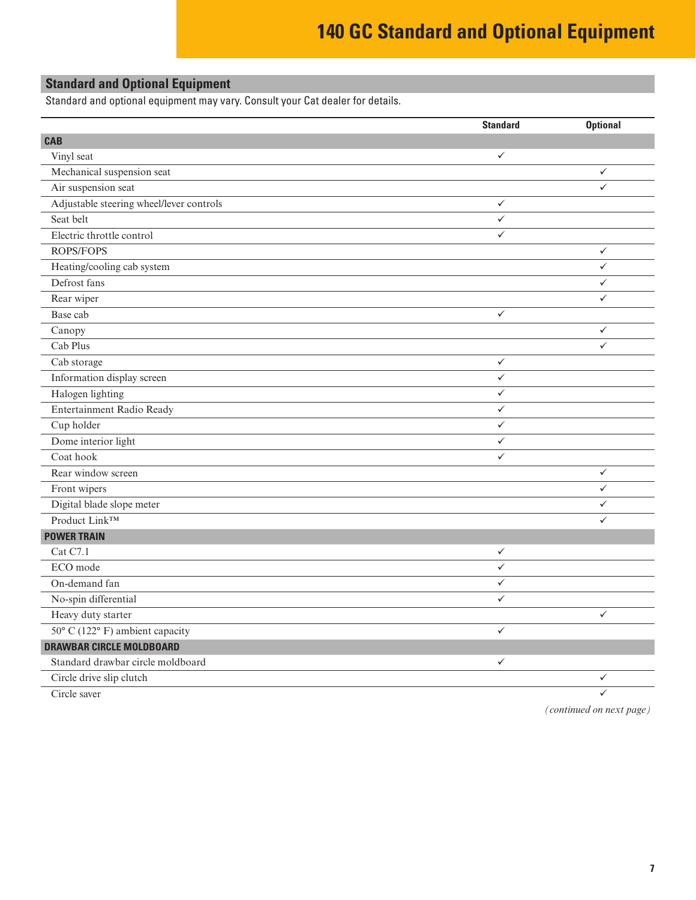# **140 GC Standard and Optional Equipment**

# <span id="page-6-0"></span>**Standard and Optional Equipment**

Standard and optional equipment may vary. Consult your Cat dealer for details.

|                                          | <b>Standard</b> | <b>Optional</b> |
|------------------------------------------|-----------------|-----------------|
| <b>CAB</b>                               |                 |                 |
| Vinyl seat                               | $\checkmark$    |                 |
| Mechanical suspension seat               |                 | $\checkmark$    |
| Air suspension seat                      |                 | $\checkmark$    |
| Adjustable steering wheel/lever controls | $\checkmark$    |                 |
| Seat belt                                | $\checkmark$    |                 |
| Electric throttle control                | $\checkmark$    |                 |
| ROPS/FOPS                                |                 | $\checkmark$    |
| Heating/cooling cab system               |                 | $\checkmark$    |
| Defrost fans                             |                 | $\checkmark$    |
| Rear wiper                               |                 | $\checkmark$    |
| Base cab                                 | $\checkmark$    |                 |
| Canopy                                   |                 | $\checkmark$    |
| Cab Plus                                 |                 | $\checkmark$    |
| Cab storage                              | $\checkmark$    |                 |
| Information display screen               | $\checkmark$    |                 |
| Halogen lighting                         | $\checkmark$    |                 |
| Entertainment Radio Ready                | $\checkmark$    |                 |
| Cup holder                               | $\checkmark$    |                 |
| Dome interior light                      | $\checkmark$    |                 |
| Coat hook                                | $\checkmark$    |                 |
| Rear window screen                       |                 | $\checkmark$    |
| Front wipers                             |                 | $\checkmark$    |
| Digital blade slope meter                |                 | $\checkmark$    |
| Product Link™                            |                 | $\checkmark$    |
| <b>POWER TRAIN</b>                       |                 |                 |
| Cat C7.1                                 | $\checkmark$    |                 |
| ECO mode                                 | $\checkmark$    |                 |
| On-demand fan                            | $\checkmark$    |                 |
| No-spin differential                     | $\checkmark$    |                 |
| Heavy duty starter                       |                 | $\checkmark$    |
| 50° C (122° F) ambient capacity          | $\checkmark$    |                 |
| <b>DRAWBAR CIRCLE MOLDBOARD</b>          |                 |                 |
| Standard drawbar circle moldboard        | $\checkmark$    |                 |
| Circle drive slip clutch                 |                 | $\checkmark$    |
| Circle saver                             |                 | $\checkmark$    |

*(continued on next page)*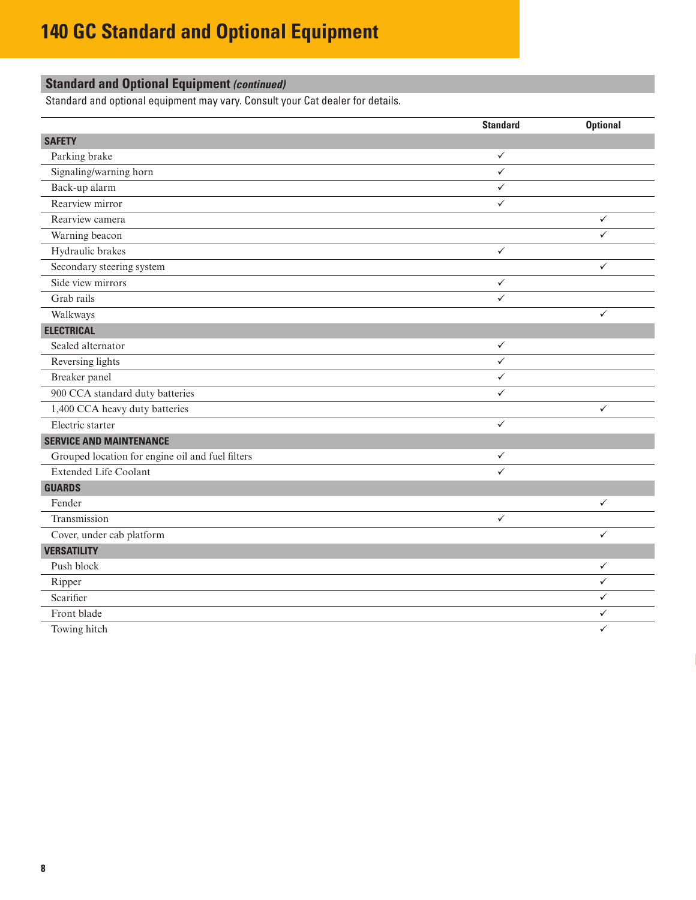# **Standard and Optional Equipment** *(continued)*

Standard and optional equipment may vary. Consult your Cat dealer for details.

|                                                  | <b>Standard</b>         | <b>Optional</b> |
|--------------------------------------------------|-------------------------|-----------------|
| <b>SAFETY</b>                                    |                         |                 |
| Parking brake                                    | ✓                       |                 |
| Signaling/warning horn                           | $\checkmark$            |                 |
| Back-up alarm                                    | $\checkmark$            |                 |
| Rearview mirror                                  | $\checkmark$            |                 |
| Rearview camera                                  |                         | $\checkmark$    |
| Warning beacon                                   |                         | ✓               |
| Hydraulic brakes                                 | $\checkmark$            |                 |
| Secondary steering system                        |                         | $\checkmark$    |
| Side view mirrors                                | $\checkmark$            |                 |
| Grab rails                                       | $\checkmark$            |                 |
| Walkways                                         |                         | $\checkmark$    |
| <b>ELECTRICAL</b>                                |                         |                 |
| Sealed alternator                                | $\checkmark$            |                 |
| Reversing lights                                 | $\checkmark$            |                 |
| Breaker panel                                    | $\checkmark$            |                 |
| 900 CCA standard duty batteries                  | $\overline{\checkmark}$ |                 |
| 1,400 CCA heavy duty batteries                   |                         | ✓               |
| Electric starter                                 | $\checkmark$            |                 |
| <b>SERVICE AND MAINTENANCE</b>                   |                         |                 |
| Grouped location for engine oil and fuel filters | $\checkmark$            |                 |
| <b>Extended Life Coolant</b>                     | ✓                       |                 |
| <b>GUARDS</b>                                    |                         |                 |
| Fender                                           |                         | $\checkmark$    |
| Transmission                                     | $\checkmark$            |                 |
| Cover, under cab platform                        |                         | $\checkmark$    |
| <b>VERSATILITY</b>                               |                         |                 |
| Push block                                       |                         | $\checkmark$    |
| Ripper                                           |                         | $\checkmark$    |
| Scarifier                                        |                         | ✓               |
| Front blade                                      |                         | $\checkmark$    |
| Towing hitch                                     |                         | $\checkmark$    |